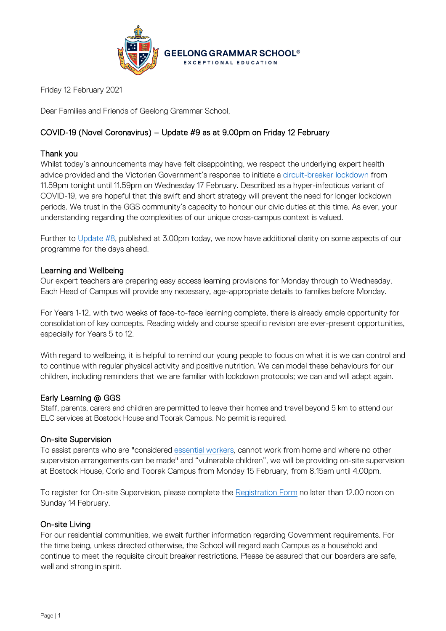

Friday 12 February 2021

Dear Families and Friends of Geelong Grammar School,

# COVID-19 (Novel Coronavirus) – Update #9 as at 9.00pm on Friday 12 February

# Thank you

Whilst today's announcements may have felt disappointing, we respect the underlying expert health advice provided and the Victorian Government's response to initiate a [circuit-breaker lockdown](https://www.premier.vic.gov.au/sites/default/files/2021-02/210212%20-%20Table%20of%20restrictions.pdf) from 11.59pm tonight until 11.59pm on Wednesday 17 February. Described as a hyper-infectious variant of COVID-19, we are hopeful that this swift and short strategy will prevent the need for longer lockdown periods. We trust in the GGS community's capacity to honour our civic duties at this time. As ever, your understanding regarding the complexities of our unique cross-campus context is valued.

Further to [Update #8,](https://www.ggs.vic.edu.au/ArticleDocuments/1007/Coronavirus%20Update%2008_120221.pdf.aspx) published at 3.00pm today, we now have additional clarity on some aspects of our programme for the days ahead.

# Learning and Wellbeing

Our expert teachers are preparing easy access learning provisions for Monday through to Wednesday. Each Head of Campus will provide any necessary, age-appropriate details to families before Monday.

For Years 1-12, with two weeks of face-to-face learning complete, there is already ample opportunity for consolidation of key concepts. Reading widely and course specific revision are ever-present opportunities, especially for Years 5 to 12.

With regard to wellbeing, it is helpful to remind our young people to focus on what it is we can control and to continue with regular physical activity and positive nutrition. We can model these behaviours for our children, including reminders that we are familiar with lockdown protocols; we can and will adapt again.

### Early Learning @ GGS

Staff, parents, carers and children are permitted to leave their homes and travel beyond 5 km to attend our ELC services at Bostock House and Toorak Campus. No permit is required.

### On-site Supervision

To assist parents who are "considered [essential workers,](https://www.premier.vic.gov.au/sites/default/files/2021-02/210212%20-%20Table%20of%20restrictions.pdf) cannot work from home and where no other supervision arrangements can be made" and "vulnerable children", we will be providing on-site supervision at Bostock House, Corio and Toorak Campus from Monday 15 February, from 8.15am until 4.00pm.

To register for On-site Supervision, please complete the [Registration Form](https://www.ggs.vic.edu.au/school/our-school/leadership-and-governance/recent-statements/covid-19/supervision-of-remote-learning-ggs) no later than 12.00 noon on Sunday 14 February.

### On-site Living

For our residential communities, we await further information regarding Government requirements. For the time being, unless directed otherwise, the School will regard each Campus as a household and continue to meet the requisite circuit breaker restrictions. Please be assured that our boarders are safe, well and strong in spirit.